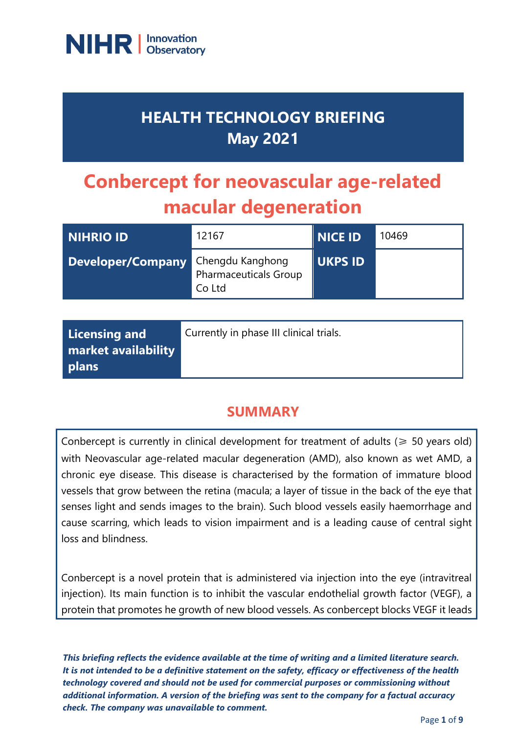

## **HEALTH TECHNOLOGY BRIEFING May 2021**

# **Conbercept for neovascular age-related macular degeneration**

| NIHRIO ID         | 12167                                                      | <b>NICE ID</b> | 10469 |
|-------------------|------------------------------------------------------------|----------------|-------|
| Developer/Company | Chengdu Kanghong<br><b>Pharmaceuticals Group</b><br>Co Ltd | <b>UKPS ID</b> |       |

| Licensing and       | Currently in phase III clinical trials. |
|---------------------|-----------------------------------------|
| market availability |                                         |
| plans               |                                         |

## **SUMMARY**

Conbercept is currently in clinical development for treatment of adults ( $\geq 50$  years old) with Neovascular age-related macular degeneration (AMD), also known as wet AMD, a chronic eye disease. This disease is characterised by the formation of immature blood vessels that grow between the retina (macula; a layer of tissue in the back of the eye that senses light and sends images to the brain). Such blood vessels easily haemorrhage and cause scarring, which leads to vision impairment and is a leading cause of central sight loss and blindness.

Conbercept is a novel protein that is administered via injection into the eye (intravitreal injection). Its main function is to inhibit the vascular endothelial growth factor (VEGF), a protein that promotes he growth of new blood vessels. As conbercept blocks VEGF it leads

*This briefing reflects the evidence available at the time of writing and a limited literature search. It is not intended to be a definitive statement on the safety, efficacy or effectiveness of the health technology covered and should not be used for commercial purposes or commissioning without additional information. A version of the briefing was sent to the company for a factual accuracy check. The company was unavailable to comment.*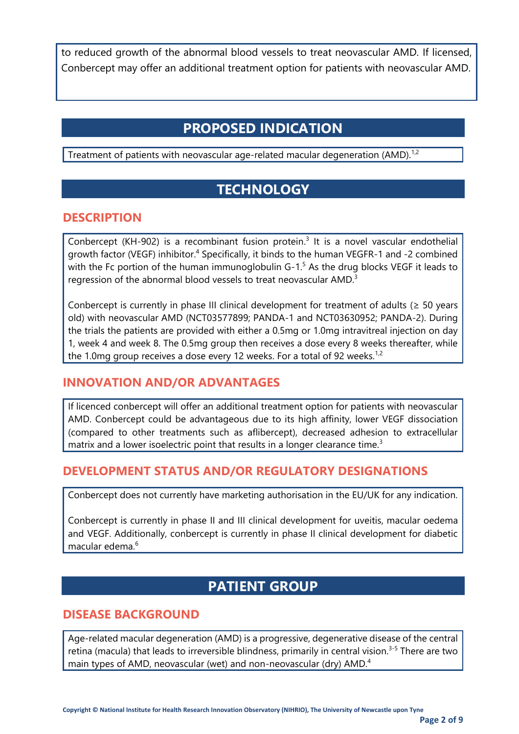to reduced growth of the abnormal blood vessels to treat neovascular AMD. If licensed, Conbercept may offer an additional treatment option for patients with neovascular AMD.

## **PROPOSED INDICATION**

Treatment of patients with neovascular age-related macular degeneration (AMD).<sup>1,2</sup>

## **TECHNOLOGY**

#### **DESCRIPTION**

Conbercept (KH-902) is a recombinant fusion protein.<sup>3</sup> It is a novel vascular endothelial growth factor (VEGF) inhibitor.<sup>4</sup> Specifically, it binds to the human VEGFR-1 and -2 combined with the Fc portion of the human immunoglobulin  $G-1<sup>5</sup>$  As the drug blocks VEGF it leads to regression of the abnormal blood vessels to treat neovascular AMD.<sup>3</sup>

Conbercept is currently in phase III clinical development for treatment of adults ( $\geq$  50 years old) with neovascular AMD (NCT03577899; PANDA-1 and NCT03630952; PANDA-2). During the trials the patients are provided with either a 0.5mg or 1.0mg intravitreal injection on day 1, week 4 and week 8. The 0.5mg group then receives a dose every 8 weeks thereafter, while the 1.0mg group receives a dose every 12 weeks. For a total of 92 weeks.<sup>1,2</sup>

#### **INNOVATION AND/OR ADVANTAGES**

If licenced conbercept will offer an additional treatment option for patients with neovascular AMD. Conbercept could be advantageous due to its high affinity, lower VEGF dissociation (compared to other treatments such as aflibercept), decreased adhesion to extracellular matrix and a lower isoelectric point that results in a longer clearance time.<sup>3</sup>

#### **DEVELOPMENT STATUS AND/OR REGULATORY DESIGNATIONS**

Conbercept does not currently have marketing authorisation in the EU/UK for any indication.

Conbercept is currently in phase II and III clinical development for uveitis, macular oedema and VEGF. Additionally, conbercept is currently in phase II clinical development for diabetic macular edema $6$ 

## **PATIENT GROUP**

#### **DISEASE BACKGROUND**

Age-related macular degeneration (AMD) is a progressive, degenerative disease of the central retina (macula) that leads to irreversible blindness, primarily in central vision.<sup>3-5</sup> There are two main types of AMD, neovascular (wet) and non-neovascular (dry) AMD.<sup>4</sup>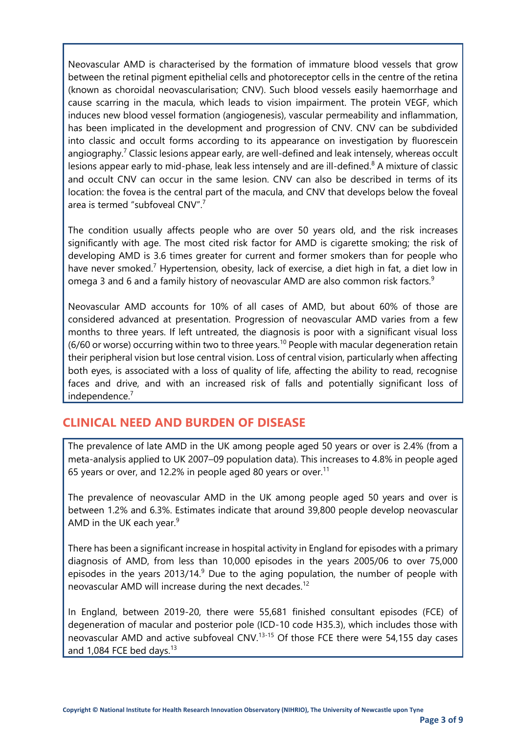Neovascular AMD is characterised by the formation of immature blood vessels that grow between the retinal pigment epithelial cells and photoreceptor cells in the centre of the retina (known as choroidal neovascularisation; CNV). Such blood vessels easily haemorrhage and cause scarring in the macula, which leads to vision impairment. The protein VEGF, which induces new blood vessel formation (angiogenesis), vascular permeability and inflammation, has been implicated in the development and progression of CNV. CNV can be subdivided into classic and occult forms according to its appearance on investigation by fluorescein angiography.<sup>7</sup> Classic lesions appear early, are well-defined and leak intensely, whereas occult lesions appear early to mid-phase, leak less intensely and are ill-defined.<sup>8</sup> A mixture of classic and occult CNV can occur in the same lesion. CNV can also be described in terms of its location: the fovea is the central part of the macula, and CNV that develops below the foveal area is termed "subfoveal CNV".<sup>7</sup>

The condition usually affects people who are over 50 years old, and the risk increases significantly with age. The most cited risk factor for AMD is cigarette smoking; the risk of developing AMD is 3.6 times greater for current and former smokers than for people who have never smoked.<sup>7</sup> Hypertension, obesity, lack of exercise, a diet high in fat, a diet low in omega 3 and 6 and a family history of neovascular AMD are also common risk factors.<sup>9</sup>

Neovascular AMD accounts for 10% of all cases of AMD, but about 60% of those are considered advanced at presentation. Progression of neovascular AMD varies from a few months to three years. If left untreated, the diagnosis is poor with a significant visual loss (6/60 or worse) occurring within two to three years.<sup>10</sup> People with macular degeneration retain their peripheral vision but lose central vision. Loss of central vision, particularly when affecting both eyes, is associated with a loss of quality of life, affecting the ability to read, recognise faces and drive, and with an increased risk of falls and potentially significant loss of independence.<sup>7</sup>

#### **CLINICAL NEED AND BURDEN OF DISEASE**

The prevalence of late AMD in the UK among people aged 50 years or over is 2.4% (from a meta-analysis applied to UK 2007–09 population data). This increases to 4.8% in people aged 65 years or over, and 12.2% in people aged 80 years or over.<sup>11</sup>

The prevalence of neovascular AMD in the UK among people aged 50 years and over is between 1.2% and 6.3%. Estimates indicate that around 39,800 people develop neovascular AMD in the UK each year. $9$ 

There has been a significant increase in hospital activity in England for episodes with a primary diagnosis of AMD, from less than 10,000 episodes in the years 2005/06 to over 75,000 episodes in the years  $2013/14$ .<sup>9</sup> Due to the aging population, the number of people with neovascular AMD will increase during the next decades.<sup>12</sup>

In England, between 2019-20, there were 55,681 finished consultant episodes (FCE) of degeneration of macular and posterior pole (ICD-10 code H35.3), which includes those with neovascular AMD and active subfoveal CNV.<sup>13-15</sup> Of those FCE there were 54,155 day cases and  $1,084$  FCE bed days.<sup>13</sup>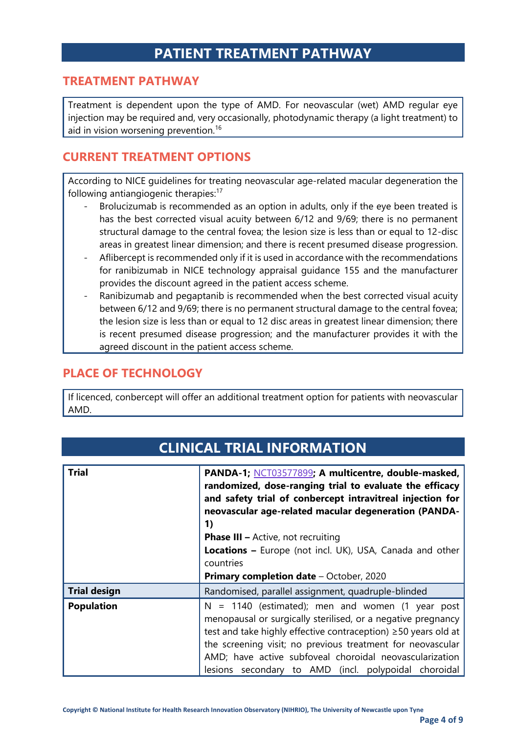## **PATIENT TREATMENT PATHWAY**

#### **TREATMENT PATHWAY**

Treatment is dependent upon the type of AMD. For neovascular (wet) AMD regular eye injection may be required and, very occasionally, photodynamic therapy (a light treatment) to aid in vision worsening prevention.<sup>16</sup>

#### **CURRENT TREATMENT OPTIONS**

According to NICE guidelines for treating neovascular age-related macular degeneration the following antiangiogenic therapies:<sup>17</sup>

- Brolucizumab is recommended as an option in adults, only if the eye been treated is has the best corrected visual acuity between 6/12 and 9/69; there is no permanent structural damage to the central fovea; the lesion size is less than or equal to 12-disc areas in greatest linear dimension; and there is recent presumed disease progression.
- Aflibercept is recommended only if it is used in accordance with the recommendations for ranibizumab in NICE technology appraisal guidance 155 and the manufacturer provides the discount agreed in the patient access scheme.
- Ranibizumab and pegaptanib is recommended when the best corrected visual acuity between 6/12 and 9/69; there is no permanent structural damage to the central fovea; the lesion size is less than or equal to 12 disc areas in greatest linear dimension; there is recent presumed disease progression; and the manufacturer provides it with the agreed discount in the patient access scheme.

#### **PLACE OF TECHNOLOGY**

If licenced, conbercept will offer an additional treatment option for patients with neovascular AMD.

| <b>Trial</b>        | PANDA-1; NCT03577899; A multicentre, double-masked,<br>randomized, dose-ranging trial to evaluate the efficacy<br>and safety trial of conbercept intravitreal injection for<br>neovascular age-related macular degeneration (PANDA-<br>1) |  |
|---------------------|-------------------------------------------------------------------------------------------------------------------------------------------------------------------------------------------------------------------------------------------|--|
|                     | <b>Phase III - Active, not recruiting</b>                                                                                                                                                                                                 |  |
|                     |                                                                                                                                                                                                                                           |  |
|                     | Locations - Europe (not incl. UK), USA, Canada and other                                                                                                                                                                                  |  |
|                     | countries                                                                                                                                                                                                                                 |  |
|                     | Primary completion date - October, 2020                                                                                                                                                                                                   |  |
| <b>Trial design</b> | Randomised, parallel assignment, quadruple-blinded                                                                                                                                                                                        |  |
| <b>Population</b>   | $N = 1140$ (estimated); men and women (1 year post                                                                                                                                                                                        |  |
|                     | menopausal or surgically sterilised, or a negative pregnancy                                                                                                                                                                              |  |
|                     | test and take highly effective contraception) ≥50 years old at                                                                                                                                                                            |  |
|                     | the screening visit; no previous treatment for neovascular                                                                                                                                                                                |  |
|                     |                                                                                                                                                                                                                                           |  |
|                     | AMD; have active subfoveal choroidal neovascularization                                                                                                                                                                                   |  |
|                     | lesions secondary to AMD (incl. polypoidal                                                                                                                                                                                                |  |

## **CLINICAL TRIAL INFORMATION**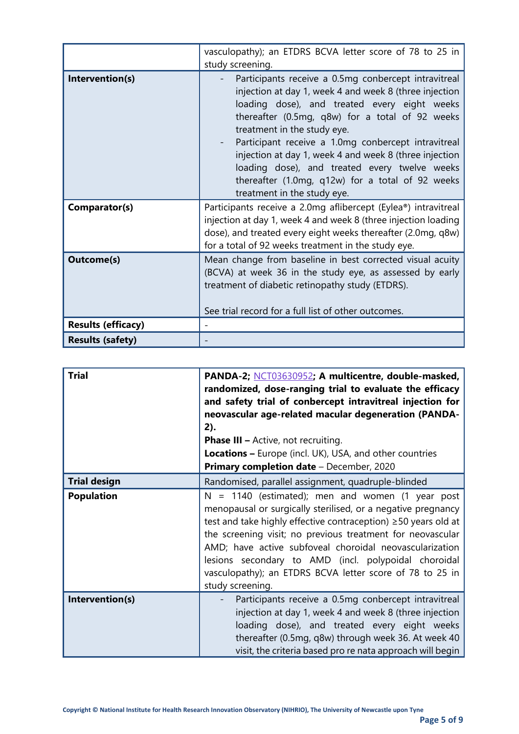|                           | vasculopathy); an ETDRS BCVA letter score of 78 to 25 in<br>study screening.                                                                                                                                                                                                                                                                                                                                                                                                                          |
|---------------------------|-------------------------------------------------------------------------------------------------------------------------------------------------------------------------------------------------------------------------------------------------------------------------------------------------------------------------------------------------------------------------------------------------------------------------------------------------------------------------------------------------------|
| Intervention(s)           | Participants receive a 0.5mg conbercept intravitreal<br>injection at day 1, week 4 and week 8 (three injection<br>loading dose), and treated every eight weeks<br>thereafter (0.5mg, q8w) for a total of 92 weeks<br>treatment in the study eye.<br>Participant receive a 1.0mg conbercept intravitreal<br>injection at day 1, week 4 and week 8 (three injection<br>loading dose), and treated every twelve weeks<br>thereafter (1.0mg, q12w) for a total of 92 weeks<br>treatment in the study eye. |
| Comparator(s)             | Participants receive a 2.0mg aflibercept (Eylea®) intravitreal<br>injection at day 1, week 4 and week 8 (three injection loading<br>dose), and treated every eight weeks thereafter (2.0mg, q8w)<br>for a total of 92 weeks treatment in the study eye.                                                                                                                                                                                                                                               |
| <b>Outcome(s)</b>         | Mean change from baseline in best corrected visual acuity<br>(BCVA) at week 36 in the study eye, as assessed by early<br>treatment of diabetic retinopathy study (ETDRS).<br>See trial record for a full list of other outcomes.                                                                                                                                                                                                                                                                      |
| <b>Results (efficacy)</b> |                                                                                                                                                                                                                                                                                                                                                                                                                                                                                                       |
| <b>Results (safety)</b>   |                                                                                                                                                                                                                                                                                                                                                                                                                                                                                                       |

| <b>Trial</b>        | PANDA-2; NCT03630952; A multicentre, double-masked,<br>randomized, dose-ranging trial to evaluate the efficacy<br>and safety trial of conbercept intravitreal injection for<br>neovascular age-related macular degeneration (PANDA-<br>2).<br><b>Phase III - Active, not recruiting.</b><br><b>Locations - Europe (incl. UK), USA, and other countries</b><br>Primary completion date - December, 2020                                                |
|---------------------|-------------------------------------------------------------------------------------------------------------------------------------------------------------------------------------------------------------------------------------------------------------------------------------------------------------------------------------------------------------------------------------------------------------------------------------------------------|
| <b>Trial design</b> | Randomised, parallel assignment, quadruple-blinded                                                                                                                                                                                                                                                                                                                                                                                                    |
| <b>Population</b>   | $N = 1140$ (estimated); men and women (1 year post<br>menopausal or surgically sterilised, or a negative pregnancy<br>test and take highly effective contraception) ≥50 years old at<br>the screening visit; no previous treatment for neovascular<br>AMD; have active subfoveal choroidal neovascularization<br>lesions secondary to AMD (incl. polypoidal choroidal<br>vasculopathy); an ETDRS BCVA letter score of 78 to 25 in<br>study screening. |
| Intervention(s)     | Participants receive a 0.5mg conbercept intravitreal<br>injection at day 1, week 4 and week 8 (three injection<br>loading dose), and treated every eight weeks<br>thereafter (0.5mg, q8w) through week 36. At week 40<br>visit, the criteria based pro re nata approach will begin                                                                                                                                                                    |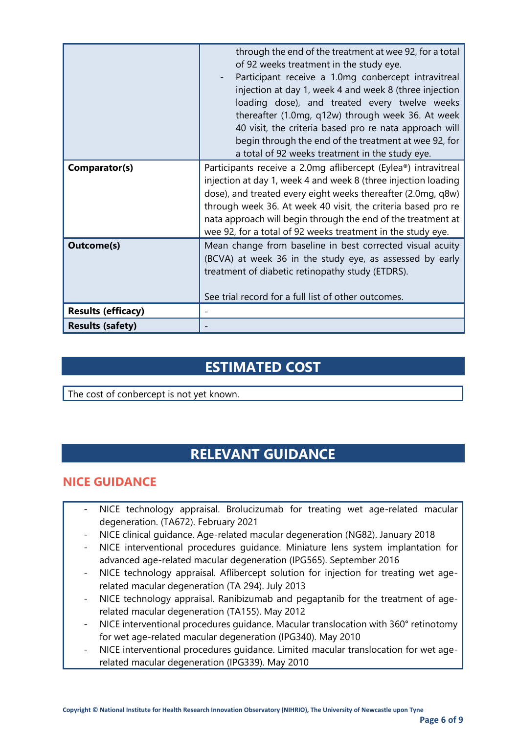|                           | through the end of the treatment at wee 92, for a total<br>of 92 weeks treatment in the study eye.<br>Participant receive a 1.0mg conbercept intravitreal<br>injection at day 1, week 4 and week 8 (three injection<br>loading dose), and treated every twelve weeks<br>thereafter (1.0mg, q12w) through week 36. At week<br>40 visit, the criteria based pro re nata approach will<br>begin through the end of the treatment at wee 92, for<br>a total of 92 weeks treatment in the study eye. |  |
|---------------------------|-------------------------------------------------------------------------------------------------------------------------------------------------------------------------------------------------------------------------------------------------------------------------------------------------------------------------------------------------------------------------------------------------------------------------------------------------------------------------------------------------|--|
| Comparator(s)             | Participants receive a 2.0mg aflibercept (Eylea®) intravitreal<br>injection at day 1, week 4 and week 8 (three injection loading<br>dose), and treated every eight weeks thereafter (2.0mg, q8w)<br>through week 36. At week 40 visit, the criteria based pro re<br>nata approach will begin through the end of the treatment at<br>wee 92, for a total of 92 weeks treatment in the study eye.                                                                                                 |  |
| <b>Outcome(s)</b>         | Mean change from baseline in best corrected visual acuity<br>(BCVA) at week 36 in the study eye, as assessed by early<br>treatment of diabetic retinopathy study (ETDRS).<br>See trial record for a full list of other outcomes.                                                                                                                                                                                                                                                                |  |
| <b>Results (efficacy)</b> |                                                                                                                                                                                                                                                                                                                                                                                                                                                                                                 |  |
| <b>Results (safety)</b>   |                                                                                                                                                                                                                                                                                                                                                                                                                                                                                                 |  |

## **ESTIMATED COST**

The cost of conbercept is not yet known.

## **RELEVANT GUIDANCE**

#### **NICE GUIDANCE**

- NICE technology appraisal. Brolucizumab for treating wet age-related macular degeneration. (TA672). February 2021
- NICE clinical guidance. Age-related macular degeneration (NG82). January 2018
- NICE interventional procedures guidance. Miniature lens system implantation for advanced age-related macular degeneration (IPG565). September 2016
- NICE technology appraisal. Aflibercept solution for injection for treating wet agerelated macular degeneration (TA 294). July 2013
- NICE technology appraisal. Ranibizumab and pegaptanib for the treatment of agerelated macular degeneration (TA155). May 2012
- NICE interventional procedures guidance. Macular translocation with 360° retinotomy for wet age-related macular degeneration (IPG340). May 2010
- NICE interventional procedures guidance. Limited macular translocation for wet agerelated macular degeneration (IPG339). May 2010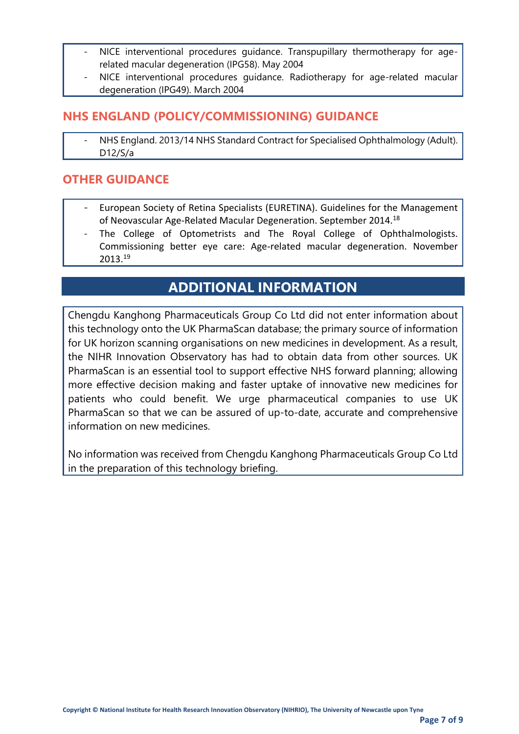- NICE interventional procedures guidance. Transpupillary thermotherapy for agerelated macular degeneration (IPG58). May 2004
- NICE interventional procedures quidance. Radiotherapy for age-related macular degeneration (IPG49). March 2004

#### **NHS ENGLAND (POLICY/COMMISSIONING) GUIDANCE**

NHS England. 2013/14 NHS Standard Contract for Specialised Ophthalmology (Adult). D12/S/a

#### **OTHER GUIDANCE**

- European Society of Retina Specialists (EURETINA). Guidelines for the Management of Neovascular Age-Related Macular Degeneration. September 2014. 18
- The College of Optometrists and The Royal College of Ophthalmologists. Commissioning better eye care: Age-related macular degeneration. November 2013.<sup>19</sup>

## **ADDITIONAL INFORMATION**

Chengdu Kanghong Pharmaceuticals Group Co Ltd did not enter information about this technology onto the UK PharmaScan database; the primary source of information for UK horizon scanning organisations on new medicines in development. As a result, the NIHR Innovation Observatory has had to obtain data from other sources. UK PharmaScan is an essential tool to support effective NHS forward planning; allowing more effective decision making and faster uptake of innovative new medicines for patients who could benefit. We urge pharmaceutical companies to use UK PharmaScan so that we can be assured of up-to-date, accurate and comprehensive information on new medicines.

No information was received from Chengdu Kanghong Pharmaceuticals Group Co Ltd in the preparation of this technology briefing.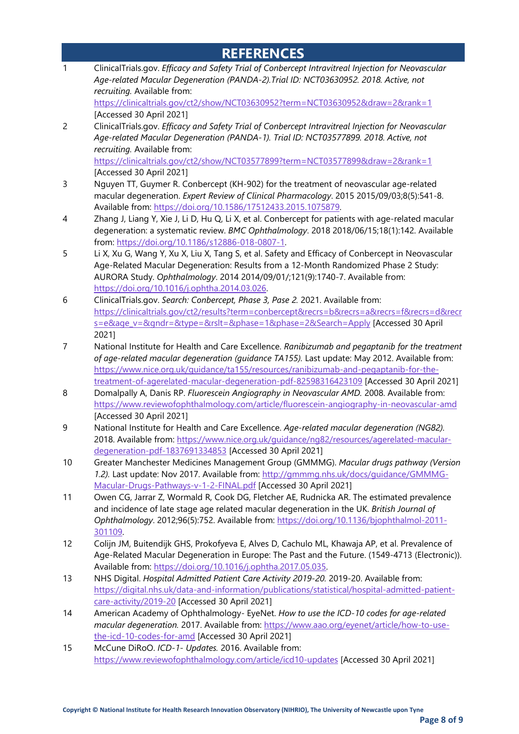## **REFERENCES**

1 ClinicalTrials.gov. *Efficacy and Safety Trial of Conbercept Intravitreal Injection for Neovascular Age-related Macular Degeneration (PANDA-2).Trial ID: NCT03630952. 2018. Active, not recruiting.* Available from: <https://clinicaltrials.gov/ct2/show/NCT03630952?term=NCT03630952&draw=2&rank=1> [Accessed 30 April 2021] 2 ClinicalTrials.gov. *Efficacy and Safety Trial of Conbercept Intravitreal Injection for Neovascular Age-related Macular Degeneration (PANDA-1). Trial ID: NCT03577899. 2018. Active, not recruiting.* Available from: <https://clinicaltrials.gov/ct2/show/NCT03577899?term=NCT03577899&draw=2&rank=1> [Accessed 30 April 2021] 3 Nguyen TT, Guymer R. Conbercept (KH-902) for the treatment of neovascular age-related macular degeneration. *Expert Review of Clinical Pharmacology*. 2015 2015/09/03;8(5):541-8. Available from: [https://doi.org/10.1586/17512433.2015.1075879.](https://doi.org/10.1586/17512433.2015.1075879) 4 Zhang J, Liang Y, Xie J, Li D, Hu Q, Li X, et al. Conbercept for patients with age-related macular degeneration: a systematic review. *BMC Ophthalmology*. 2018 2018/06/15;18(1):142. Available from: [https://doi.org/10.1186/s12886-018-0807-1.](https://doi.org/10.1186/s12886-018-0807-1) 5 Li X, Xu G, Wang Y, Xu X, Liu X, Tang S, et al. Safety and Efficacy of Conbercept in Neovascular Age-Related Macular Degeneration: Results from a 12-Month Randomized Phase 2 Study: AURORA Study. *Ophthalmology*. 2014 2014/09/01/;121(9):1740-7. Available from: [https://doi.org/10.1016/j.ophtha.2014.03.026.](https://doi.org/10.1016/j.ophtha.2014.03.026) 6 ClinicalTrials.gov. *Search: Conbercept, Phase 3, Pase 2.* 2021. Available from: [https://clinicaltrials.gov/ct2/results?term=conbercept&recrs=b&recrs=a&recrs=f&recrs=d&recr](https://clinicaltrials.gov/ct2/results?term=conbercept&recrs=b&recrs=a&recrs=f&recrs=d&recrs=e&age_v=&gndr=&type=&rslt=&phase=1&phase=2&Search=Apply) [s=e&age\\_v=&gndr=&type=&rslt=&phase=1&phase=2&Search=Apply](https://clinicaltrials.gov/ct2/results?term=conbercept&recrs=b&recrs=a&recrs=f&recrs=d&recrs=e&age_v=&gndr=&type=&rslt=&phase=1&phase=2&Search=Apply) [Accessed 30 April 2021] 7 National Institute for Health and Care Excellence. *Ranibizumab and pegaptanib for the treatment of age-related macular degeneration (guidance TA155).* Last update: May 2012. Available from: [https://www.nice.org.uk/guidance/ta155/resources/ranibizumab-and-pegaptanib-for-the](https://www.nice.org.uk/guidance/ta155/resources/ranibizumab-and-pegaptanib-for-the-treatment-of-agerelated-macular-degeneration-pdf-82598316423109)[treatment-of-agerelated-macular-degeneration-pdf-82598316423109](https://www.nice.org.uk/guidance/ta155/resources/ranibizumab-and-pegaptanib-for-the-treatment-of-agerelated-macular-degeneration-pdf-82598316423109) [Accessed 30 April 2021] 8 Domalpally A, Danis RP. *Fluorescein Angiography in Neovascular AMD.* 2008. Available from: <https://www.reviewofophthalmology.com/article/fluorescein-angiography-in-neovascular-amd> [Accessed 30 April 2021] 9 National Institute for Health and Care Excellence. *Age-related macular degeneration (NG82).* 2018. Available from: [https://www.nice.org.uk/guidance/ng82/resources/agerelated-macular](https://www.nice.org.uk/guidance/ng82/resources/agerelated-macular-degeneration-pdf-1837691334853)[degeneration-pdf-1837691334853](https://www.nice.org.uk/guidance/ng82/resources/agerelated-macular-degeneration-pdf-1837691334853) [Accessed 30 April 2021] 10 Greater Manchester Medicines Management Group (GMMMG). *Macular drugs pathway (Version 1.2).* Last update: Nov 2017. Available from: [http://gmmmg.nhs.uk/docs/guidance/GMMMG-](http://gmmmg.nhs.uk/docs/guidance/GMMMG-Macular-Drugs-Pathways-v-1-2-FINAL.pdf)[Macular-Drugs-Pathways-v-1-2-FINAL.pdf](http://gmmmg.nhs.uk/docs/guidance/GMMMG-Macular-Drugs-Pathways-v-1-2-FINAL.pdf) [Accessed 30 April 2021] 11 Owen CG, Jarrar Z, Wormald R, Cook DG, Fletcher AE, Rudnicka AR. The estimated prevalence and incidence of late stage age related macular degeneration in the UK. *British Journal of Ophthalmology*. 2012;96(5):752. Available from: [https://doi.org/10.1136/bjophthalmol-2011-](https://doi.org/10.1136/bjophthalmol-2011-301109) [301109.](https://doi.org/10.1136/bjophthalmol-2011-301109) 12 Colijn JM, Buitendijk GHS, Prokofyeva E, Alves D, Cachulo ML, Khawaja AP, et al. Prevalence of Age-Related Macular Degeneration in Europe: The Past and the Future. (1549-4713 (Electronic)). Available from: [https://doi.org/10.1016/j.ophtha.2017.05.035.](https://doi.org/10.1016/j.ophtha.2017.05.035) 13 NHS Digital. *Hospital Admitted Patient Care Activity 2019-20.* 2019-20. Available from: [https://digital.nhs.uk/data-and-information/publications/statistical/hospital-admitted-patient](https://digital.nhs.uk/data-and-information/publications/statistical/hospital-admitted-patient-care-activity/2019-20)[care-activity/2019-20](https://digital.nhs.uk/data-and-information/publications/statistical/hospital-admitted-patient-care-activity/2019-20) [Accessed 30 April 2021] 14 American Academy of Ophthalmology- EyeNet. *How to use the ICD-10 codes for age-related macular degeneration.* 2017. Available from: [https://www.aao.org/eyenet/article/how-to-use](https://www.aao.org/eyenet/article/how-to-use-the-icd-10-codes-for-amd)[the-icd-10-codes-for-amd](https://www.aao.org/eyenet/article/how-to-use-the-icd-10-codes-for-amd) [Accessed 30 April 2021] 15 McCune DiRoO. *ICD-1- Updates.* 2016. Available from: <https://www.reviewofophthalmology.com/article/icd10-updates> [Accessed 30 April 2021]